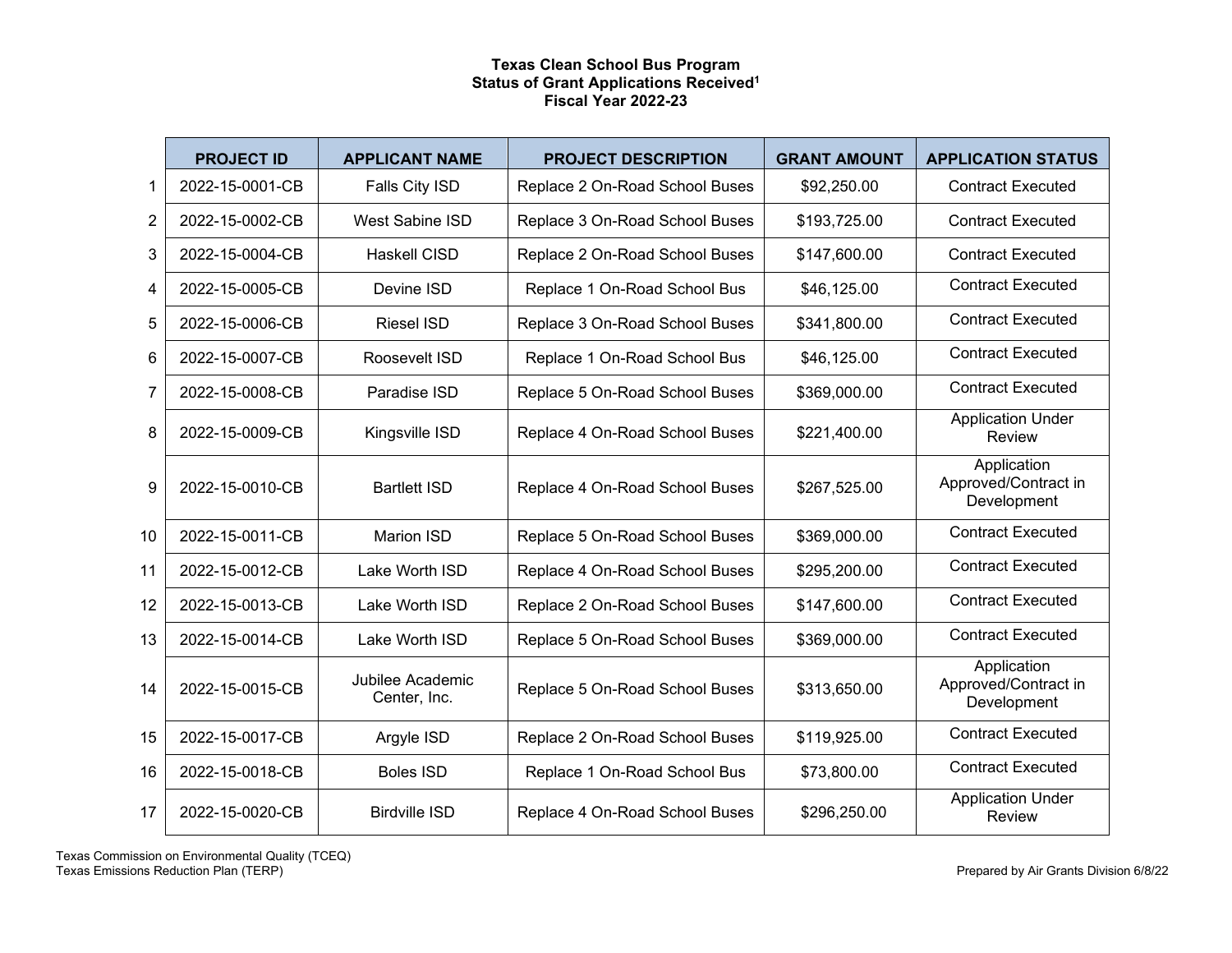## **Texas Clean School Bus Program Status of Grant Applications Received1 Fiscal Year 2022-23**

|                | <b>PROJECT ID</b> | <b>APPLICANT NAME</b>            | <b>PROJECT DESCRIPTION</b>     | <b>GRANT AMOUNT</b> | <b>APPLICATION STATUS</b>                          |
|----------------|-------------------|----------------------------------|--------------------------------|---------------------|----------------------------------------------------|
| 1              | 2022-15-0001-CB   | Falls City ISD                   | Replace 2 On-Road School Buses | \$92,250.00         | <b>Contract Executed</b>                           |
| $\overline{2}$ | 2022-15-0002-CB   | <b>West Sabine ISD</b>           | Replace 3 On-Road School Buses | \$193,725.00        | <b>Contract Executed</b>                           |
| 3              | 2022-15-0004-CB   | <b>Haskell CISD</b>              | Replace 2 On-Road School Buses | \$147,600.00        | <b>Contract Executed</b>                           |
| 4              | 2022-15-0005-CB   | Devine ISD                       | Replace 1 On-Road School Bus   | \$46,125.00         | <b>Contract Executed</b>                           |
| 5              | 2022-15-0006-CB   | <b>Riesel ISD</b>                | Replace 3 On-Road School Buses | \$341,800.00        | <b>Contract Executed</b>                           |
| 6              | 2022-15-0007-CB   | Roosevelt ISD                    | Replace 1 On-Road School Bus   | \$46,125.00         | <b>Contract Executed</b>                           |
| 7              | 2022-15-0008-CB   | Paradise ISD                     | Replace 5 On-Road School Buses | \$369,000.00        | <b>Contract Executed</b>                           |
| 8              | 2022-15-0009-CB   | Kingsville ISD                   | Replace 4 On-Road School Buses | \$221,400.00        | <b>Application Under</b><br>Review                 |
| 9              | 2022-15-0010-CB   | <b>Bartlett ISD</b>              | Replace 4 On-Road School Buses | \$267,525.00        | Application<br>Approved/Contract in<br>Development |
| 10             | 2022-15-0011-CB   | Marion ISD                       | Replace 5 On-Road School Buses | \$369,000.00        | <b>Contract Executed</b>                           |
| 11             | 2022-15-0012-CB   | Lake Worth ISD                   | Replace 4 On-Road School Buses | \$295,200.00        | <b>Contract Executed</b>                           |
| 12             | 2022-15-0013-CB   | Lake Worth ISD                   | Replace 2 On-Road School Buses | \$147,600.00        | <b>Contract Executed</b>                           |
| 13             | 2022-15-0014-CB   | Lake Worth ISD                   | Replace 5 On-Road School Buses | \$369,000.00        | <b>Contract Executed</b>                           |
| 14             | 2022-15-0015-CB   | Jubilee Academic<br>Center, Inc. | Replace 5 On-Road School Buses | \$313,650.00        | Application<br>Approved/Contract in<br>Development |
| 15             | 2022-15-0017-CB   | Argyle ISD                       | Replace 2 On-Road School Buses | \$119,925.00        | <b>Contract Executed</b>                           |
| 16             | 2022-15-0018-CB   | <b>Boles ISD</b>                 | Replace 1 On-Road School Bus   | \$73,800.00         | <b>Contract Executed</b>                           |
| 17             | 2022-15-0020-CB   | <b>Birdville ISD</b>             | Replace 4 On-Road School Buses | \$296,250.00        | <b>Application Under</b><br>Review                 |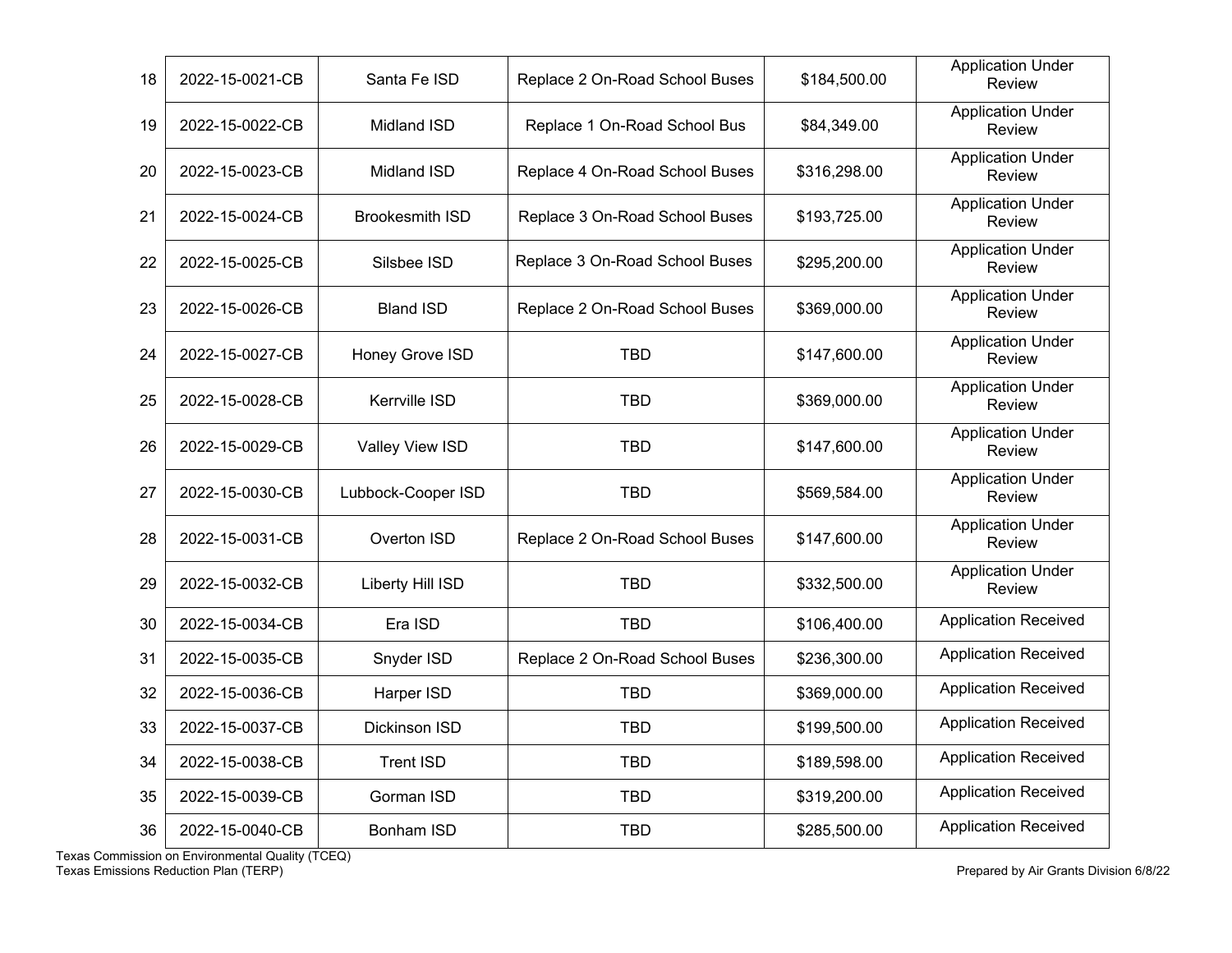| 18 | 2022-15-0021-CB | Santa Fe ISD           | Replace 2 On-Road School Buses | \$184,500.00 | <b>Application Under</b><br><b>Review</b> |
|----|-----------------|------------------------|--------------------------------|--------------|-------------------------------------------|
| 19 | 2022-15-0022-CB | Midland ISD            | Replace 1 On-Road School Bus   | \$84,349.00  | <b>Application Under</b><br>Review        |
| 20 | 2022-15-0023-CB | <b>Midland ISD</b>     | Replace 4 On-Road School Buses | \$316,298.00 | <b>Application Under</b><br>Review        |
| 21 | 2022-15-0024-CB | <b>Brookesmith ISD</b> | Replace 3 On-Road School Buses | \$193,725.00 | <b>Application Under</b><br>Review        |
| 22 | 2022-15-0025-CB | Silsbee ISD            | Replace 3 On-Road School Buses | \$295,200.00 | <b>Application Under</b><br>Review        |
| 23 | 2022-15-0026-CB | <b>Bland ISD</b>       | Replace 2 On-Road School Buses | \$369,000.00 | <b>Application Under</b><br>Review        |
| 24 | 2022-15-0027-CB | Honey Grove ISD        | <b>TBD</b>                     | \$147,600.00 | <b>Application Under</b><br>Review        |
| 25 | 2022-15-0028-CB | <b>Kerrville ISD</b>   | <b>TBD</b>                     | \$369,000.00 | <b>Application Under</b><br>Review        |
| 26 | 2022-15-0029-CB | Valley View ISD        | <b>TBD</b>                     | \$147,600.00 | <b>Application Under</b><br>Review        |
| 27 | 2022-15-0030-CB | Lubbock-Cooper ISD     | <b>TBD</b>                     | \$569,584.00 | <b>Application Under</b><br>Review        |
| 28 | 2022-15-0031-CB | Overton ISD            | Replace 2 On-Road School Buses | \$147,600.00 | <b>Application Under</b><br>Review        |
| 29 | 2022-15-0032-CB | Liberty Hill ISD       | <b>TBD</b>                     | \$332,500.00 | <b>Application Under</b><br>Review        |
| 30 | 2022-15-0034-CB | Era ISD                | <b>TBD</b>                     | \$106,400.00 | <b>Application Received</b>               |
| 31 | 2022-15-0035-CB | Snyder ISD             | Replace 2 On-Road School Buses | \$236,300.00 | <b>Application Received</b>               |
| 32 | 2022-15-0036-CB | Harper ISD             | <b>TBD</b>                     | \$369,000.00 | <b>Application Received</b>               |
| 33 | 2022-15-0037-CB | Dickinson ISD          | <b>TBD</b>                     | \$199,500.00 | <b>Application Received</b>               |
| 34 | 2022-15-0038-CB | <b>Trent ISD</b>       | <b>TBD</b>                     | \$189,598.00 | <b>Application Received</b>               |
| 35 | 2022-15-0039-CB | Gorman ISD             | <b>TBD</b>                     | \$319,200.00 | <b>Application Received</b>               |
| 36 | 2022-15-0040-CB | <b>Bonham ISD</b>      | <b>TBD</b>                     | \$285,500.00 | <b>Application Received</b>               |

Texas Commission on Environmental Quality (TCEQ) Texas Emissions Reduction Plan (TERP) Prepared by Air Grants Division 6/8/22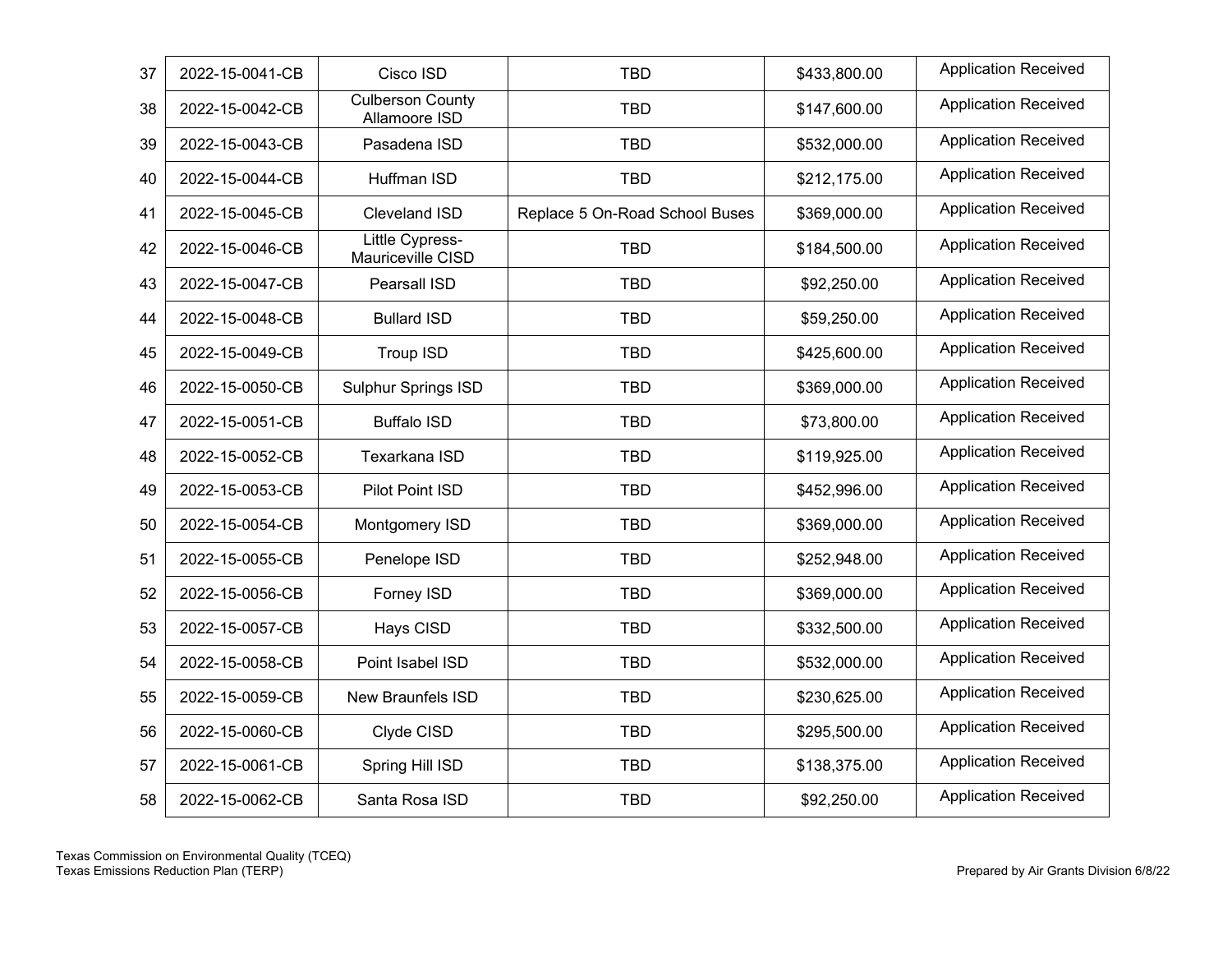| 37 | 2022-15-0041-CB | Cisco ISD                                   | <b>TBD</b>                     | \$433,800.00 | <b>Application Received</b> |
|----|-----------------|---------------------------------------------|--------------------------------|--------------|-----------------------------|
| 38 | 2022-15-0042-CB | <b>Culberson County</b><br>Allamoore ISD    | <b>TBD</b>                     | \$147,600.00 | <b>Application Received</b> |
| 39 | 2022-15-0043-CB | Pasadena ISD                                | <b>TBD</b>                     | \$532,000.00 | <b>Application Received</b> |
| 40 | 2022-15-0044-CB | Huffman ISD                                 | <b>TBD</b>                     | \$212,175.00 | <b>Application Received</b> |
| 41 | 2022-15-0045-CB | Cleveland ISD                               | Replace 5 On-Road School Buses | \$369,000.00 | <b>Application Received</b> |
| 42 | 2022-15-0046-CB | <b>Little Cypress-</b><br>Mauriceville CISD | <b>TBD</b>                     | \$184,500.00 | <b>Application Received</b> |
| 43 | 2022-15-0047-CB | Pearsall ISD                                | <b>TBD</b>                     | \$92,250.00  | <b>Application Received</b> |
| 44 | 2022-15-0048-CB | <b>Bullard ISD</b>                          | <b>TBD</b>                     | \$59,250.00  | <b>Application Received</b> |
| 45 | 2022-15-0049-CB | <b>Troup ISD</b>                            | <b>TBD</b>                     | \$425,600.00 | <b>Application Received</b> |
| 46 | 2022-15-0050-CB | <b>Sulphur Springs ISD</b>                  | <b>TBD</b>                     | \$369,000.00 | <b>Application Received</b> |
| 47 | 2022-15-0051-CB | <b>Buffalo ISD</b>                          | <b>TBD</b>                     | \$73,800.00  | <b>Application Received</b> |
| 48 | 2022-15-0052-CB | Texarkana ISD                               | <b>TBD</b>                     | \$119,925.00 | <b>Application Received</b> |
| 49 | 2022-15-0053-CB | Pilot Point ISD                             | <b>TBD</b>                     | \$452,996.00 | <b>Application Received</b> |
| 50 | 2022-15-0054-CB | Montgomery ISD                              | <b>TBD</b>                     | \$369,000.00 | <b>Application Received</b> |
| 51 | 2022-15-0055-CB | Penelope ISD                                | <b>TBD</b>                     | \$252,948.00 | <b>Application Received</b> |
| 52 | 2022-15-0056-CB | Forney ISD                                  | <b>TBD</b>                     | \$369,000.00 | <b>Application Received</b> |
| 53 | 2022-15-0057-CB | Hays CISD                                   | <b>TBD</b>                     | \$332,500.00 | <b>Application Received</b> |
| 54 | 2022-15-0058-CB | Point Isabel ISD                            | <b>TBD</b>                     | \$532,000.00 | <b>Application Received</b> |
| 55 | 2022-15-0059-CB | <b>New Braunfels ISD</b>                    | <b>TBD</b>                     | \$230,625.00 | <b>Application Received</b> |
| 56 | 2022-15-0060-CB | Clyde CISD                                  | <b>TBD</b>                     | \$295,500.00 | <b>Application Received</b> |
| 57 | 2022-15-0061-CB | Spring Hill ISD                             | <b>TBD</b>                     | \$138,375.00 | <b>Application Received</b> |
| 58 | 2022-15-0062-CB | Santa Rosa ISD                              | <b>TBD</b>                     | \$92,250.00  | <b>Application Received</b> |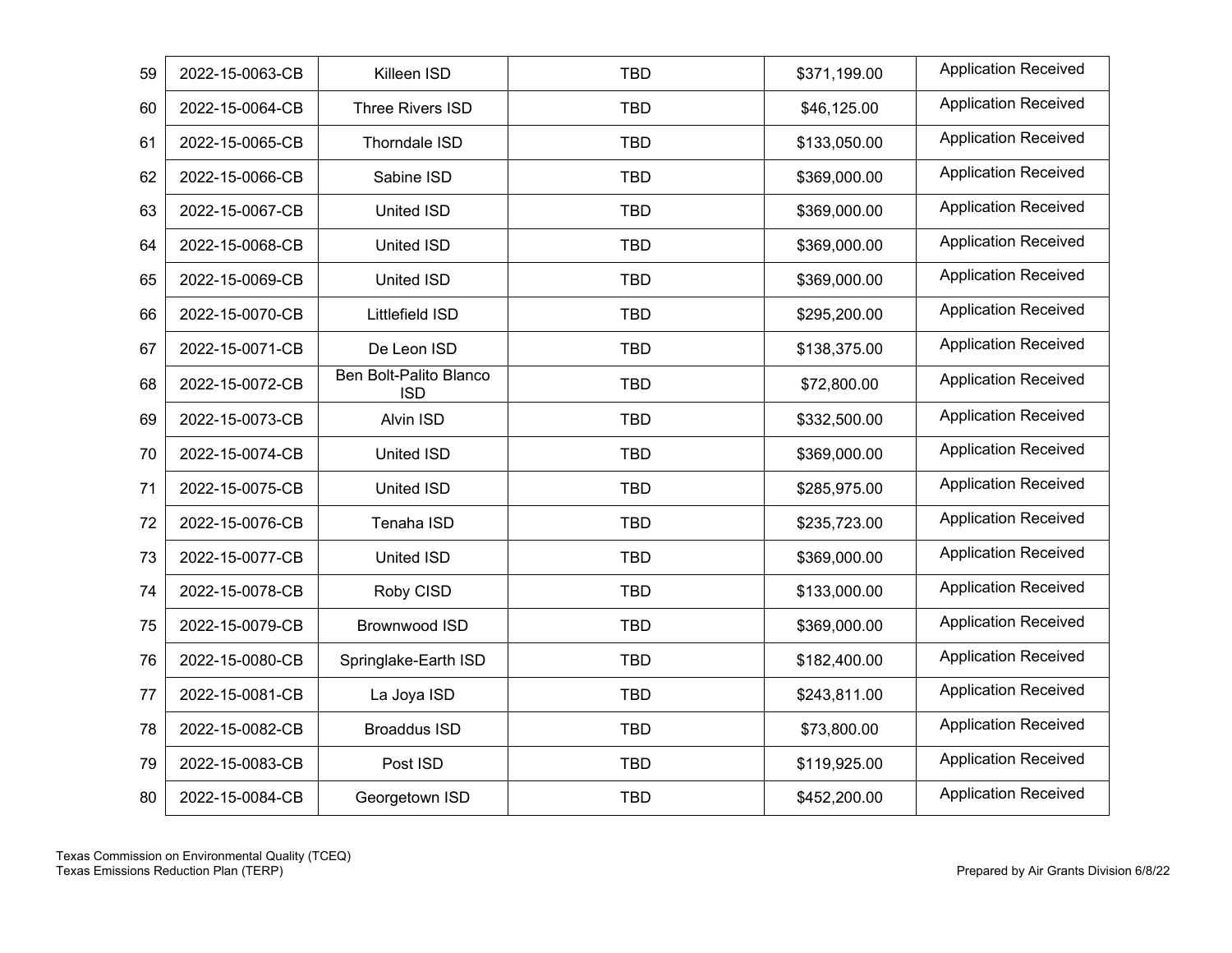| 59 | 2022-15-0063-CB | Killeen ISD                          | <b>TBD</b> | \$371,199.00 | <b>Application Received</b> |
|----|-----------------|--------------------------------------|------------|--------------|-----------------------------|
| 60 | 2022-15-0064-CB | Three Rivers ISD                     | <b>TBD</b> | \$46,125.00  | <b>Application Received</b> |
| 61 | 2022-15-0065-CB | Thorndale ISD                        | <b>TBD</b> | \$133,050.00 | <b>Application Received</b> |
| 62 | 2022-15-0066-CB | Sabine ISD                           | <b>TBD</b> | \$369,000.00 | <b>Application Received</b> |
| 63 | 2022-15-0067-CB | United ISD                           | <b>TBD</b> | \$369,000.00 | <b>Application Received</b> |
| 64 | 2022-15-0068-CB | United ISD                           | <b>TBD</b> | \$369,000.00 | <b>Application Received</b> |
| 65 | 2022-15-0069-CB | United ISD                           | <b>TBD</b> | \$369,000.00 | <b>Application Received</b> |
| 66 | 2022-15-0070-CB | Littlefield ISD                      | <b>TBD</b> | \$295,200.00 | <b>Application Received</b> |
| 67 | 2022-15-0071-CB | De Leon ISD                          | <b>TBD</b> | \$138,375.00 | <b>Application Received</b> |
| 68 | 2022-15-0072-CB | Ben Bolt-Palito Blanco<br><b>ISD</b> | <b>TBD</b> | \$72,800.00  | <b>Application Received</b> |
| 69 | 2022-15-0073-CB | Alvin ISD                            | <b>TBD</b> | \$332,500.00 | <b>Application Received</b> |
| 70 | 2022-15-0074-CB | United ISD                           | <b>TBD</b> | \$369,000.00 | <b>Application Received</b> |
| 71 | 2022-15-0075-CB | United ISD                           | <b>TBD</b> | \$285,975.00 | <b>Application Received</b> |
| 72 | 2022-15-0076-CB | Tenaha ISD                           | <b>TBD</b> | \$235,723.00 | <b>Application Received</b> |
| 73 | 2022-15-0077-CB | United ISD                           | <b>TBD</b> | \$369,000.00 | <b>Application Received</b> |
| 74 | 2022-15-0078-CB | Roby CISD                            | <b>TBD</b> | \$133,000.00 | <b>Application Received</b> |
| 75 | 2022-15-0079-CB | Brownwood ISD                        | <b>TBD</b> | \$369,000.00 | <b>Application Received</b> |
| 76 | 2022-15-0080-CB | Springlake-Earth ISD                 | <b>TBD</b> | \$182,400.00 | <b>Application Received</b> |
| 77 | 2022-15-0081-CB | La Joya ISD                          | <b>TBD</b> | \$243,811.00 | <b>Application Received</b> |
| 78 | 2022-15-0082-CB | <b>Broaddus ISD</b>                  | <b>TBD</b> | \$73,800.00  | <b>Application Received</b> |
| 79 | 2022-15-0083-CB | Post ISD                             | <b>TBD</b> | \$119,925.00 | <b>Application Received</b> |
| 80 | 2022-15-0084-CB | Georgetown ISD                       | <b>TBD</b> | \$452,200.00 | <b>Application Received</b> |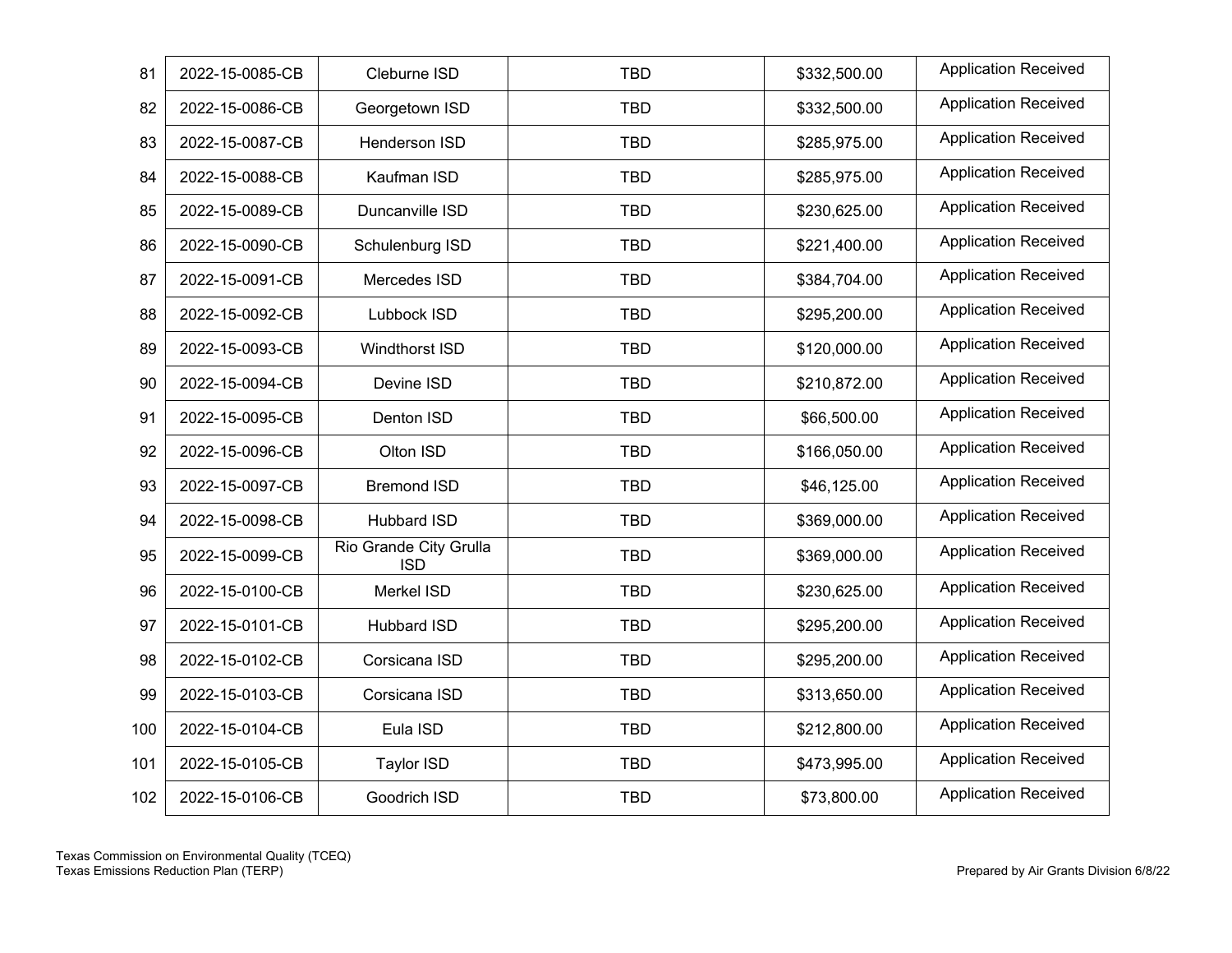| 81  | 2022-15-0085-CB | Cleburne ISD                         | <b>TBD</b> | \$332,500.00 | <b>Application Received</b> |
|-----|-----------------|--------------------------------------|------------|--------------|-----------------------------|
| 82  | 2022-15-0086-CB | Georgetown ISD                       | <b>TBD</b> | \$332,500.00 | <b>Application Received</b> |
| 83  | 2022-15-0087-CB | Henderson ISD                        | <b>TBD</b> | \$285,975.00 | <b>Application Received</b> |
| 84  | 2022-15-0088-CB | Kaufman ISD                          | <b>TBD</b> | \$285,975.00 | <b>Application Received</b> |
| 85  | 2022-15-0089-CB | Duncanville ISD                      | <b>TBD</b> | \$230,625.00 | <b>Application Received</b> |
| 86  | 2022-15-0090-CB | Schulenburg ISD                      | <b>TBD</b> | \$221,400.00 | <b>Application Received</b> |
| 87  | 2022-15-0091-CB | Mercedes ISD                         | <b>TBD</b> | \$384,704.00 | <b>Application Received</b> |
| 88  | 2022-15-0092-CB | Lubbock ISD                          | <b>TBD</b> | \$295,200.00 | <b>Application Received</b> |
| 89  | 2022-15-0093-CB | Windthorst ISD                       | <b>TBD</b> | \$120,000.00 | <b>Application Received</b> |
| 90  | 2022-15-0094-CB | Devine ISD                           | <b>TBD</b> | \$210,872.00 | <b>Application Received</b> |
| 91  | 2022-15-0095-CB | Denton ISD                           | <b>TBD</b> | \$66,500.00  | <b>Application Received</b> |
| 92  | 2022-15-0096-CB | Olton ISD                            | <b>TBD</b> | \$166,050.00 | <b>Application Received</b> |
| 93  | 2022-15-0097-CB | <b>Bremond ISD</b>                   | <b>TBD</b> | \$46,125.00  | <b>Application Received</b> |
| 94  | 2022-15-0098-CB | Hubbard ISD                          | <b>TBD</b> | \$369,000.00 | <b>Application Received</b> |
| 95  | 2022-15-0099-CB | Rio Grande City Grulla<br><b>ISD</b> | <b>TBD</b> | \$369,000.00 | <b>Application Received</b> |
| 96  | 2022-15-0100-CB | Merkel ISD                           | <b>TBD</b> | \$230,625.00 | <b>Application Received</b> |
| 97  | 2022-15-0101-CB | Hubbard ISD                          | <b>TBD</b> | \$295,200.00 | <b>Application Received</b> |
| 98  | 2022-15-0102-CB | Corsicana ISD                        | <b>TBD</b> | \$295,200.00 | <b>Application Received</b> |
| 99  | 2022-15-0103-CB | Corsicana ISD                        | <b>TBD</b> | \$313,650.00 | <b>Application Received</b> |
| 100 | 2022-15-0104-CB | Eula ISD                             | <b>TBD</b> | \$212,800.00 | <b>Application Received</b> |
| 101 | 2022-15-0105-CB | Taylor ISD                           | <b>TBD</b> | \$473,995.00 | <b>Application Received</b> |
| 102 | 2022-15-0106-CB | Goodrich ISD                         | <b>TBD</b> | \$73,800.00  | <b>Application Received</b> |